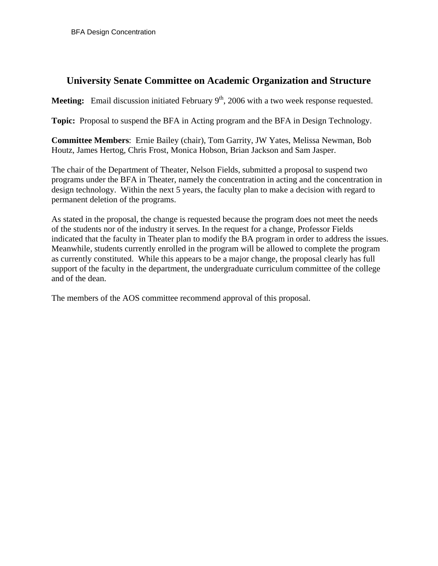# **University Senate Committee on Academic Organization and Structure**

**Meeting:** Email discussion initiated February 9<sup>th</sup>, 2006 with a two week response requested.

**Topic:** Proposal to suspend the BFA in Acting program and the BFA in Design Technology.

**Committee Members**: Ernie Bailey (chair), Tom Garrity, JW Yates, Melissa Newman, Bob Houtz, James Hertog, Chris Frost, Monica Hobson, Brian Jackson and Sam Jasper.

The chair of the Department of Theater, Nelson Fields, submitted a proposal to suspend two programs under the BFA in Theater, namely the concentration in acting and the concentration in design technology. Within the next 5 years, the faculty plan to make a decision with regard to permanent deletion of the programs.

As stated in the proposal, the change is requested because the program does not meet the needs of the students nor of the industry it serves. In the request for a change, Professor Fields indicated that the faculty in Theater plan to modify the BA program in order to address the issues. Meanwhile, students currently enrolled in the program will be allowed to complete the program as currently constituted. While this appears to be a major change, the proposal clearly has full support of the faculty in the department, the undergraduate curriculum committee of the college and of the dean.

The members of the AOS committee recommend approval of this proposal.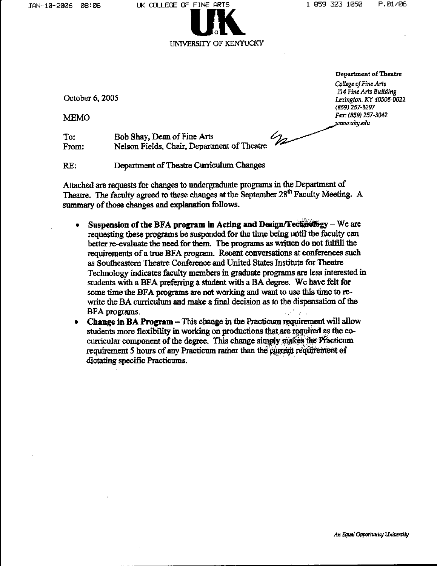

Department of Theatre

October 6, 2005

**MEMO** 

College of Fine Arts 114 Fine Arts Building Lexington, KY 40506-0022 (859) 257-3297 Fax: (859) 257-3042 www.ukv.edu

 $\mathscr{C}_{\mathbb{Z}}$  $To:$ Bob Shay, Dean of Fine Arts Nelson Fields, Chair, Department of Theatre From:

Department of Theatre Curriculum Changes RE:

Attached are requests for changes to undergraduate programs in the Department of Theatre. The faculty agreed to these changes at the September 28<sup>th</sup> Faculty Meeting. A summary of those changes and explanation follows.

- Suspension of the BFA program in Acting and Design/Technology We are requesting these programs be suspended for the time being until the faculty can better re-evaluate the need for them. The programs as written do not fulfill the requirements of a true BFA program. Recent conversations at conferences such as Southeastern Theatre Conference and United States Institute for Theatre Technology indicates faculty members in graduate programs are less interested in students with a BFA preferring a student with a BA degree. We have felt for some time the BFA programs are not working and want to use this time to rewrite the BA curriculum and make a final decision as to the dispensation of the BFA programs.
- Change in BA Program This change in the Practicum requirement will allow students more flexibility in working on productions that are required as the cocurricular component of the degree. This change simply makes the Practicum requirement 5 hours of any Practicum rather than the current requirement of dictating specific Practicums.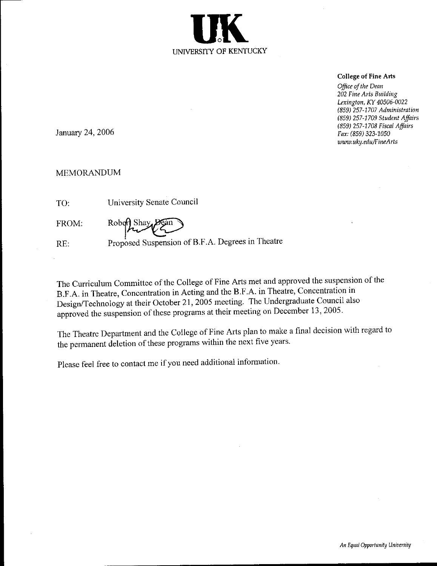

#### **College of Fine Arts**

Office of the Dean 202 Fine Arts Building Lexington, KY 40506-0022 (859) 257-1707 Administration (859) 257-1709 Student Affairs (859) 257-1708 Fiscal Affairs Fax: (859) 323-1050 www.uky.edu/FineArts

January 24, 2006

### **MEMORANDUM**

| TO:   | University Senate Council             |
|-------|---------------------------------------|
| FROM: | Robert Shay Dean                      |
| RE:   | Proposed Suspension of B.F.A. Degrees |

The Curriculum Committee of the College of Fine Arts met and approved the suspension of the B.F.A. in Theatre, Concentration in Acting and the B.F.A. in Theatre, Concentration in Design/Technology at their October 21, 2005 meeting. The Undergraduate Council also approved the suspension of these programs at their meeting on December 13, 2005.

in Theatre

The Theatre Department and the College of Fine Arts plan to make a final decision with regard to the permanent deletion of these programs within the next five years.

Please feel free to contact me if you need additional information.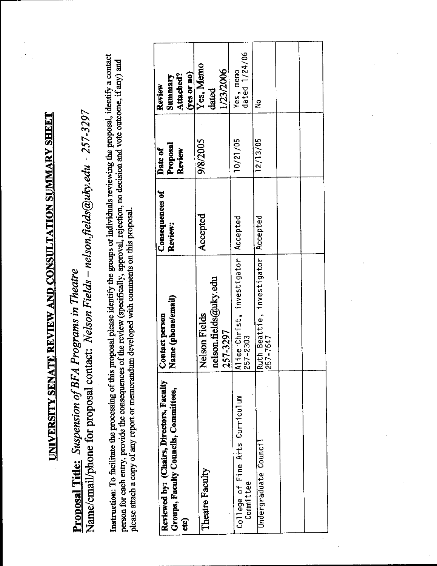<u>UNIVERSITY SENATE REVIEW AND CONSULTATION SUMMARY SHEET</u>

Name/email/phone for proposal contact: Nelson Fields - nelson.fields@uky.edu - 257-3297 Proposal Title: Suspension of BFA Programs in Theatre

Instruction: To facilitate the processing of this proposal please identify the groups or individuals reviewing the proposal, identify a contact person for each entry, provide the consequences of the review (specifically, approval, rejection, no decision and vote outcome, if any) and please attach a copy of any report or memorandum developed with comments on this proposal.

| Reviewed by: (Chairs, Directors, Faculty<br>Groups, Faculty Councils, Committees, | Contact person<br>Name (phone/email)                                               | Consequences of<br>Review: | Proposal<br>Date of<br>Review | $(yes$ or no)<br>Attached?<br>Summary<br>Review |
|-----------------------------------------------------------------------------------|------------------------------------------------------------------------------------|----------------------------|-------------------------------|-------------------------------------------------|
|                                                                                   | nelson.fields@uky.edu<br>Nelson Fields<br>257-3297                                 | Accepted                   | 9/8/2005                      | Yes, Memo<br>1/23/2006<br>dated                 |
| College of Fine Arts Curriculum                                                   | ice Christ, investigator<br>$7 - 2303$<br>$\frac{5}{2}$<br>$\overline{\mathbf{z}}$ | Accepted                   | 10/21/05                      | Yes, memo<br>dated 1/24/06                      |
| Undergraduate Council                                                             | Ruth Beattie, investigator   Accepted<br>257-7647                                  |                            | 12/13/05                      | ş                                               |
|                                                                                   |                                                                                    |                            |                               |                                                 |
|                                                                                   |                                                                                    |                            |                               |                                                 |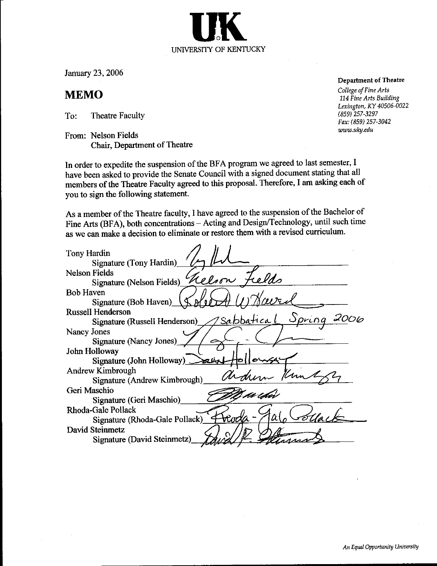January 23, 2006

## **MEMO**

To: **Theatre Faculty** 

From: Nelson Fields Chair, Department of Theatre

In order to expedite the suspension of the BFA program we agreed to last semester, I have been asked to provide the Senate Council with a signed document stating that all members of the Theatre Faculty agreed to this proposal. Therefore, I am asking each of you to sign the following statement.

UNIVERSITY OF KENTUCKY

As a member of the Theatre faculty, I have agreed to the suspension of the Bachelor of Fine Arts (BFA), both concentrations - Acting and Design/Technology, until such time as we can make a decision to eliminate or restore them with a revised curriculum.

| Tony Hardin                                                  |
|--------------------------------------------------------------|
| Signature (Tony Hardin)<br><b>Nelson Fields</b>              |
| Signature (Nelson Fields) Relson Fields                      |
| <b>Bob Haven</b>                                             |
| Signature (Bob Haven) $\langle \oint A \phi \rangle$         |
| <b>Russell Henderson</b>                                     |
| <u> 2 Sabbatical</u> Spring<br>Signature (Russell Henderson) |
| Nancy Jones                                                  |
| Signature (Nancy Jones)                                      |
| John Holloway                                                |
| Signature (John Holloway)                                    |
| Andrew Kimbrough                                             |
| Signature (Andrew Kimbrough)                                 |
| Geri Maschio<br>no edur                                      |
| Signature (Geri Maschio)                                     |
| Rhoda-Gale Pollack                                           |
| Frada-<br>$\alpha$<br>Signature (Rhoda-Gale Pollack)         |
| David Steinmetz                                              |
| Signature (David Steinmetz)                                  |

**Department of Theatre** 

College of Fine Arts 114 Fine Arts Building Lexington, KY 40506-0022  $(859)$  257-3297 Fax: (859) 257-3042 www.uky.edu